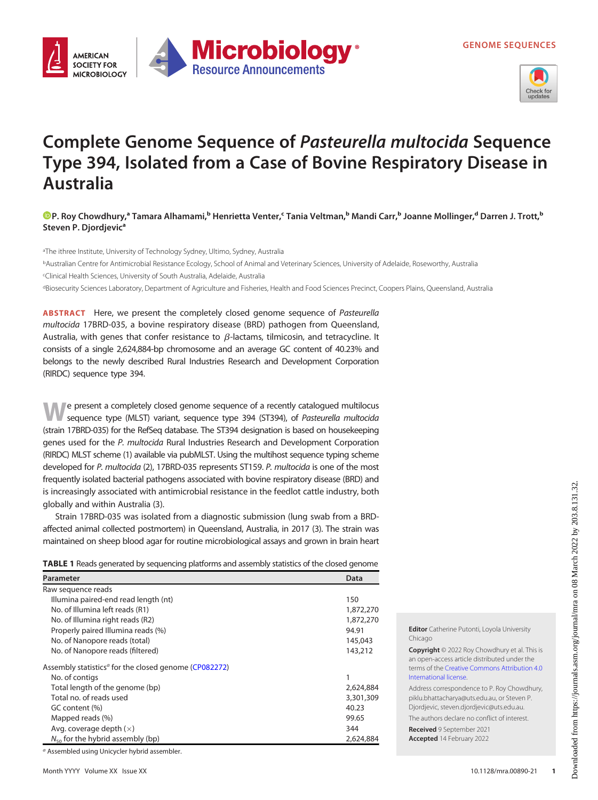

## Complete Genome Sequence of Pasteurella multocida Sequence Type 394, Isolated from a Case of Bovine Respiratory Disease in Australia

**Microbiology** 

**Resource Announcements** 

## [P. Roy Chowdhury,](https://orcid.org/0000-0003-4352-603X)<sup>a</sup> Tamara Alhamami,<sup>b</sup> Henrietta Venter,<sup>c</sup> Tania Veltman,<sup>b</sup> Mandi Carr,<sup>b</sup> Joanne Mollinger,<sup>d</sup> Darren J. Trott,<sup>b</sup> Steven P. Djordjevic<sup>a</sup>

aThe ithree Institute, University of Technology Sydney, Ultimo, Sydney, Australia bAustralian Centre for Antimicrobial Resistance Ecology, School of Animal and Veterinary Sciences, University of Adelaide, Roseworthy, Australia c Clinical Health Sciences, University of South Australia, Adelaide, Australia dBiosecurity Sciences Laboratory, Department of Agriculture and Fisheries, Health and Food Sciences Precinct, Coopers Plains, Queensland, Australia

ABSTRACT Here, we present the completely closed genome sequence of Pasteurella multocida 17BRD-035, a bovine respiratory disease (BRD) pathogen from Queensland, Australia, with genes that confer resistance to  $\beta$ -lactams, tilmicosin, and tetracycline. It consists of a single 2,624,884-bp chromosome and an average GC content of 40.23% and belongs to the newly described Rural Industries Research and Development Corporation (RIRDC) sequence type 394.

We present a completely closed genome sequence of a recently catalogued multilocus sequence type (MLST) variant, sequence type 394 (ST394), of Pasteurella multocida (strain 17BRD-035) for the RefSeq database. The ST394 designation is based on housekeeping genes used for the P. multocida Rural Industries Research and Development Corporation (RIRDC) MLST scheme ([1\)](#page-2-0) available via pubMLST. Using the multihost sequence typing scheme developed for P. multocida [\(2\)](#page-2-1), 17BRD-035 represents ST159. P. multocida is one of the most frequently isolated bacterial pathogens associated with bovine respiratory disease (BRD) and is increasingly associated with antimicrobial resistance in the feedlot cattle industry, both globally and within Australia [\(3\)](#page-2-2).

Strain 17BRD-035 was isolated from a diagnostic submission (lung swab from a BRDaffected animal collected postmortem) in Queensland, Australia, in 2017 ([3](#page-2-2)). The strain was maintained on sheep blood agar for routine microbiological assays and grown in brain heart

<span id="page-0-0"></span>

| Parameter                                                         | Data      |
|-------------------------------------------------------------------|-----------|
| Raw sequence reads                                                |           |
| Illumina paired-end read length (nt)                              | 150       |
| No. of Illumina left reads (R1)                                   | 1,872,270 |
| No. of Illumina right reads (R2)                                  | 1,872,270 |
| Properly paired Illumina reads (%)                                | 94.91     |
| No. of Nanopore reads (total)                                     | 145,043   |
| No. of Nanopore reads (filtered)                                  | 143,212   |
| Assembly statistics <sup>a</sup> for the closed genome (CP082272) |           |
| No. of contigs                                                    |           |
| Total length of the genome (bp)                                   | 2,624,884 |
| Total no, of reads used                                           | 3,301,309 |
| GC content (%)                                                    | 40.23     |
| Mapped reads (%)                                                  | 99.65     |
| Avg. coverage depth $(x)$                                         | 344       |
| $N_{50}$ for the hybrid assembly (bp)                             | 2,624,884 |

<sup>a</sup> Assembled using Unicycler hybrid assembler.

**AMFRICAN SOCIETY FOR** 

**MICROBIOLOGY** 

Copyright © 2022 Roy Chowdhury et al. This is an open-access article distributed under the terms of the [Creative Commons Attribution 4.0](https://creativecommons.org/licenses/by/4.0/) [International license](https://creativecommons.org/licenses/by/4.0/).

Address correspondence to P. Roy Chowdhury, piklu.bhattacharya@uts.edu.au, or Steven P. Djordjevic, steven.djordjevic@uts.edu.au.

The authors declare no conflict of interest. Received 9 September 2021

Accepted 14 February 2022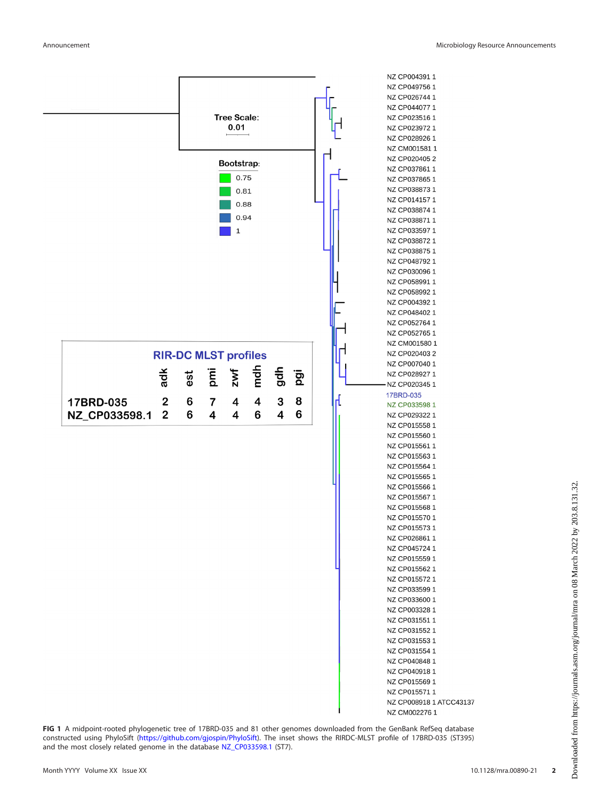

<span id="page-1-0"></span>FIG 1 A midpoint-rooted phylogenetic tree of 17BRD-035 and 81 other genomes downloaded from the GenBank RefSeq database constructed using PhyloSift [\(https://github.com/gjospin/PhyloSift\)](https://github.com/gjospin/PhyloSift). The inset shows the RIRDC-MLST profile of 17BRD-035 (ST395) and the most closely related genome in the database NZ CP033598.1 (ST7).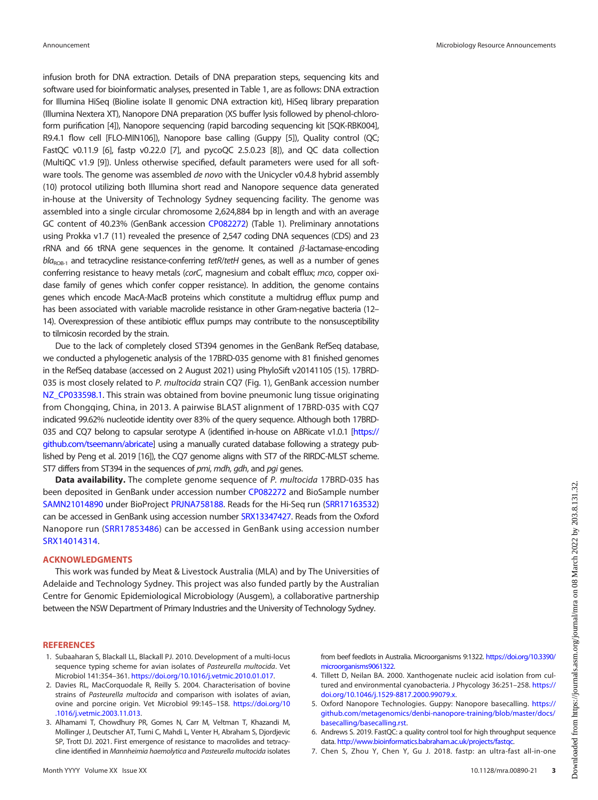infusion broth for DNA extraction. Details of DNA preparation steps, sequencing kits and software used for bioinformatic analyses, presented in [Table 1](#page-0-0), are as follows: DNA extraction for Illumina HiSeq (Bioline isolate II genomic DNA extraction kit), HiSeq library preparation (Illumina Nextera XT), Nanopore DNA preparation (XS buffer lysis followed by phenol-chloroform purification [\[4\]](#page-2-3)), Nanopore sequencing (rapid barcoding sequencing kit [SQK-RBK004], R9.4.1 flow cell [FLO-MIN106]), Nanopore base calling (Guppy [\[5](#page-2-4)]), Quality control (QC; FastQC v0.11.9 [[6](#page-2-5)], fastp v0.22.0 [[7](#page-2-6)], and pycoQC 2.5.0.23 [[8](#page-3-0)]), and QC data collection (MultiQC v1.9 [[9](#page-3-1)]). Unless otherwise specified, default parameters were used for all software tools. The genome was assembled de novo with the Unicycler v0.4.8 hybrid assembly [\(10](#page-3-2)) protocol utilizing both Illumina short read and Nanopore sequence data generated in-house at the University of Technology Sydney sequencing facility. The genome was assembled into a single circular chromosome 2,624,884 bp in length and with an average GC content of 40.23% (GenBank accession [CP082272](https://www.ncbi.nlm.nih.gov/nuccore/CP082272)) ([Table 1](#page-0-0)). Preliminary annotations using Prokka v1.7 ([11](#page-3-3)) revealed the presence of 2,547 coding DNA sequences (CDS) and 23 rRNA and 66 tRNA gene sequences in the genome. It contained  $\beta$ -lactamase-encoding  $bla_{ROB-1}$  and tetracycline resistance-conferring tetR/tetH genes, as well as a number of genes conferring resistance to heavy metals (corC, magnesium and cobalt efflux; mco, copper oxidase family of genes which confer copper resistance). In addition, the genome contains genes which encode MacA-MacB proteins which constitute a multidrug efflux pump and has been associated with variable macrolide resistance in other Gram-negative bacteria [\(12](#page-3-4)[–](#page-3-5) [14\)](#page-3-5). Overexpression of these antibiotic efflux pumps may contribute to the nonsusceptibility to tilmicosin recorded by the strain.

Due to the lack of completely closed ST394 genomes in the GenBank RefSeq database, we conducted a phylogenetic analysis of the 17BRD-035 genome with 81 finished genomes in the RefSeq database (accessed on 2 August 2021) using PhyloSift v20141105 ([15](#page-3-6)). 17BRD-035 is most closely related to P. multocida strain CQ7 [\(Fig. 1](#page-1-0)), GenBank accession number [NZ\\_CP033598.1](https://www.ncbi.nlm.nih.gov/nuccore/NZ_CP033598.1). This strain was obtained from bovine pneumonic lung tissue originating from Chongqing, China, in 2013. A pairwise BLAST alignment of 17BRD-035 with CQ7 indicated 99.62% nucleotide identity over 83% of the query sequence. Although both 17BRD-035 and CQ7 belong to capsular serotype A (identified in-house on ABRicate v1.0.1 [\[https://](https://github.com/tseemann/abricate) [github.com/tseemann/abricate\]](https://github.com/tseemann/abricate) using a manually curated database following a strategy published by Peng et al. 2019 [\[16](#page-3-7)]), the CQ7 genome aligns with ST7 of the RIRDC-MLST scheme. ST7 differs from ST394 in the sequences of pmi, mdh, gdh, and pgi genes.

Data availability. The complete genome sequence of P. multocida 17BRD-035 has been deposited in GenBank under accession number [CP082272](https://www.ncbi.nlm.nih.gov/nuccore/CP082272) and BioSample number [SAMN21014890](https://www.ncbi.nlm.nih.gov/biosample/SAMN21014890) under BioProject [PRJNA758188](https://www.ncbi.nlm.nih.gov/bioproject/?term=PRJNA758188). Reads for the Hi-Seq run [\(SRR17163532](https://www.ncbi.nlm.nih.gov/sra/SRR17163532)) can be accessed in GenBank using accession number [SRX13347427.](https://www.ncbi.nlm.nih.gov/sra/?term=SRX13347427) Reads from the Oxford Nanopore run ([SRR17853486\)](https://www.ncbi.nlm.nih.gov/sra/SRR17853486) can be accessed in GenBank using accession number [SRX14014314.](https://www.ncbi.nlm.nih.gov/sra/SRX14014314)

## ACKNOWLEDGMENTS

This work was funded by Meat & Livestock Australia (MLA) and by The Universities of Adelaide and Technology Sydney. This project was also funded partly by the Australian Centre for Genomic Epidemiological Microbiology (Ausgem), a collaborative partnership between the NSW Department of Primary Industries and the University of Technology Sydney.

## **REFERENCES**

- <span id="page-2-0"></span>1. Subaaharan S, Blackall LL, Blackall PJ. 2010. Development of a multi-locus sequence typing scheme for avian isolates of Pasteurella multocida. Vet Microbiol 141:354–361. [https://doi.org/10.1016/j.vetmic.2010.01.017.](https://doi.org/10.1016/j.vetmic.2010.01.017)
- <span id="page-2-1"></span>2. Davies RL, MacCorquodale R, Reilly S. 2004. Characterisation of bovine strains of Pasteurella multocida and comparison with isolates of avian, ovine and porcine origin. Vet Microbiol 99:145–158. [https://doi.org/10](https://doi.org/10.1016/j.vetmic.2003.11.013) [.1016/j.vetmic.2003.11.013](https://doi.org/10.1016/j.vetmic.2003.11.013).
- <span id="page-2-2"></span>3. Alhamami T, Chowdhury PR, Gomes N, Carr M, Veltman T, Khazandi M, Mollinger J, Deutscher AT, Turni C, Mahdi L, Venter H, Abraham S, Djordjevic SP, Trott DJ. 2021. First emergence of resistance to macrolides and tetracycline identified in Mannheimia haemolytica and Pasteurella multocida isolates

from beef feedlots in Australia. Microorganisms 9:1322. [https://doi.org/10.3390/](https://doi.org/10.3390/microorganisms9061322) [microorganisms9061322](https://doi.org/10.3390/microorganisms9061322).

- <span id="page-2-3"></span>4. Tillett D, Neilan BA. 2000. Xanthogenate nucleic acid isolation from cultured and environmental cyanobacteria. J Phycology 36:251–258. [https://](https://doi.org/10.1046/j.1529-8817.2000.99079.x) [doi.org/10.1046/j.1529-8817.2000.99079.x](https://doi.org/10.1046/j.1529-8817.2000.99079.x).
- <span id="page-2-4"></span>5. Oxford Nanopore Technologies. Guppy: Nanopore basecalling. [https://](https://github.com/metagenomics/denbi-nanopore-training/blob/master/docs/basecalling/basecalling.rst) [github.com/metagenomics/denbi-nanopore-training/blob/master/docs/](https://github.com/metagenomics/denbi-nanopore-training/blob/master/docs/basecalling/basecalling.rst) [basecalling/basecalling.rst.](https://github.com/metagenomics/denbi-nanopore-training/blob/master/docs/basecalling/basecalling.rst)
- <span id="page-2-5"></span>6. Andrews S. 2019. FastQC: a quality control tool for high throughput sequence data. <http://www.bioinformatics.babraham.ac.uk/projects/fastqc>.
- <span id="page-2-6"></span>7. Chen S, Zhou Y, Chen Y, Gu J. 2018. fastp: an ultra-fast all-in-one

Downloaded from https://journals.asm.org/journal/mra on 08 March 2022 by 203.8.131.32. Downloaded from https://journals.asm.org/journal/mra on 08 March 2022 by 203.8.131.32.